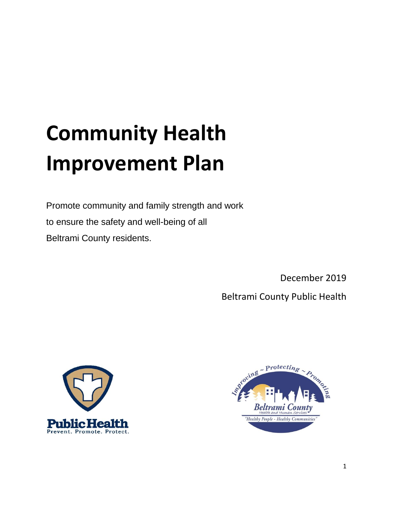# **Community Health Improvement Plan**

Promote community and family strength and work to ensure the safety and well-being of all Beltrami County residents.

December 2019

Beltrami County Public Health



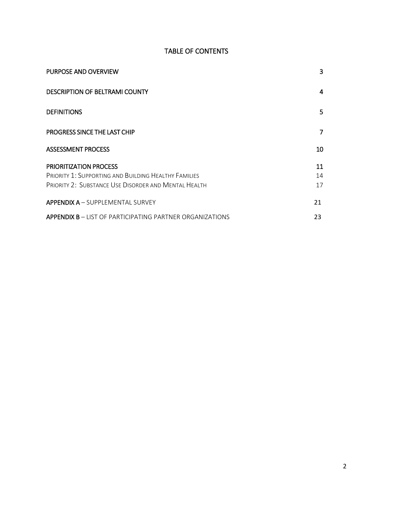# TABLE OF CONTENTS

| PURPOSE AND OVERVIEW                                                                                                                                 | 3              |
|------------------------------------------------------------------------------------------------------------------------------------------------------|----------------|
| <b>DESCRIPTION OF BELTRAMI COUNTY</b>                                                                                                                | 4              |
| <b>DEFINITIONS</b>                                                                                                                                   | 5.             |
| PROGRESS SINCE THE LAST CHIP                                                                                                                         | 7              |
| <b>ASSESSMENT PROCESS</b>                                                                                                                            | 10             |
| <b>PRIORITIZATION PROCESS</b><br><b>PRIORITY 1: SUPPORTING AND BUILDING HEALTHY FAMILIES</b><br>PRIORITY 2: SUBSTANCE USE DISORDER AND MENTAL HEALTH | 11<br>14<br>17 |
| <b>APPENDIX A - SUPPLEMENTAL SURVEY</b>                                                                                                              | 21             |
| <b>APPENDIX B – LIST OF PARTICIPATING PARTNER ORGANIZATIONS</b>                                                                                      | 23             |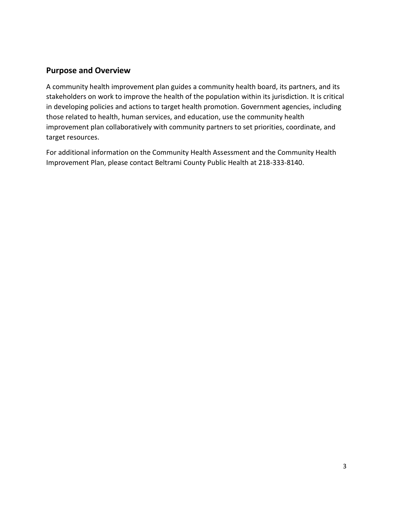## **Purpose and Overview**

A community health improvement plan guides a community health board, its partners, and its stakeholders on work to improve the health of the population within its jurisdiction. It is critical in developing policies and actions to target health promotion. Government agencies, including those related to health, human services, and education, use the community health improvement plan collaboratively with community partners to set priorities, coordinate, and target resources.

For additional information on the Community Health Assessment and the Community Health Improvement Plan, please contact Beltrami County Public Health at 218-333-8140.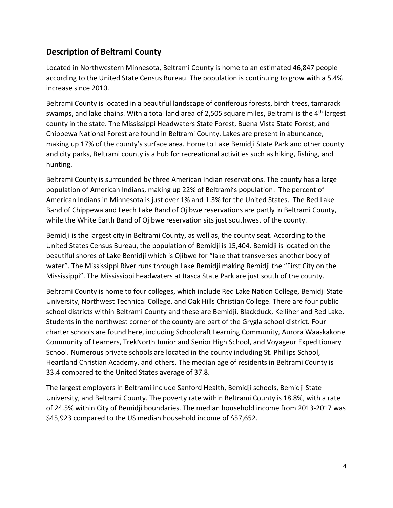# **Description of Beltrami County**

Located in Northwestern Minnesota, Beltrami County is home to an estimated 46,847 people according to the United State Census Bureau. The population is continuing to grow with a 5.4% increase since 2010.

Beltrami County is located in a beautiful landscape of coniferous forests, birch trees, tamarack swamps, and lake chains. With a total land area of 2,505 square miles, Beltrami is the 4<sup>th</sup> largest county in the state. The Mississippi Headwaters State Forest, Buena Vista State Forest, and Chippewa National Forest are found in Beltrami County. Lakes are present in abundance, making up 17% of the county's surface area. Home to Lake Bemidji State Park and other county and city parks, Beltrami county is a hub for recreational activities such as hiking, fishing, and hunting.

Beltrami County is surrounded by three American Indian reservations. The county has a large population of American Indians, making up 22% of Beltrami's population. The percent of American Indians in Minnesota is just over 1% and 1.3% for the United States. The Red Lake Band of Chippewa and Leech Lake Band of Ojibwe reservations are partly in Beltrami County, while the White Earth Band of Ojibwe reservation sits just southwest of the county.

Bemidji is the largest city in Beltrami County, as well as, the county seat. According to the United States Census Bureau, the population of Bemidji is 15,404. Bemidji is located on the beautiful shores of Lake Bemidji which is Ojibwe for "lake that transverses another body of water". The Mississippi River runs through Lake Bemidji making Bemidji the "First City on the Mississippi". The Mississippi headwaters at Itasca State Park are just south of the county.

Beltrami County is home to four colleges, which include Red Lake Nation College, Bemidji State University, Northwest Technical College, and Oak Hills Christian College. There are four public school districts within Beltrami County and these are Bemidji, Blackduck, Kelliher and Red Lake. Students in the northwest corner of the county are part of the Grygla school district. Four charter schools are found here, including Schoolcraft Learning Community, Aurora Waaskakone Community of Learners, TrekNorth Junior and Senior High School, and Voyageur Expeditionary School. Numerous private schools are located in the county including St. Phillips School, Heartland Christian Academy, and others. The median age of residents in Beltrami County is 33.4 compared to the United States average of 37.8.

The largest employers in Beltrami include Sanford Health, Bemidji schools, Bemidji State University, and Beltrami County. The poverty rate within Beltrami County is 18.8%, with a rate of 24.5% within City of Bemidji boundaries. The median household income from 2013-2017 was \$45,923 compared to the US median household income of \$57,652.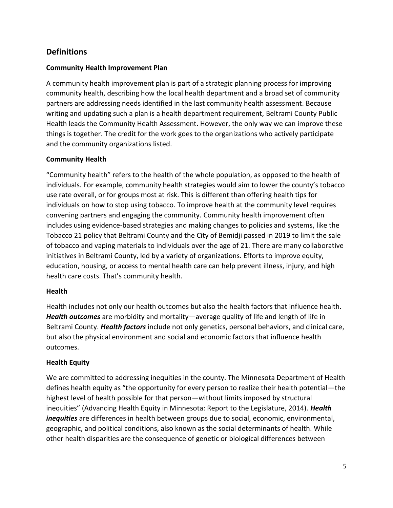# **Definitions**

## **Community Health Improvement Plan**

A community health improvement plan is part of a strategic planning process for improving community health, describing how the local health department and a broad set of community partners are addressing needs identified in the last community health assessment. Because writing and updating such a plan is a health department requirement, Beltrami County Public Health leads the Community Health Assessment. However, the only way we can improve these things is together. The credit for the work goes to the organizations who actively participate and the community organizations listed.

## **Community Health**

"Community health" refers to the health of the whole population, as opposed to the health of individuals. For example, community health strategies would aim to lower the county's tobacco use rate overall, or for groups most at risk. This is different than offering health tips for individuals on how to stop using tobacco. To improve health at the community level requires convening partners and engaging the community. Community health improvement often includes using evidence-based strategies and making changes to policies and systems, like the Tobacco 21 policy that Beltrami County and the City of Bemidji passed in 2019 to limit the sale of tobacco and vaping materials to individuals over the age of 21. There are many collaborative initiatives in Beltrami County, led by a variety of organizations. Efforts to improve equity, education, housing, or access to mental health care can help prevent illness, injury, and high health care costs. That's community health.

## **Health**

Health includes not only our health outcomes but also the health factors that influence health. *Health outcomes* are morbidity and mortality—average quality of life and length of life in Beltrami County. *Health factors* include not only genetics, personal behaviors, and clinical care, but also the physical environment and social and economic factors that influence health outcomes.

## **Health Equity**

We are committed to addressing inequities in the county. The Minnesota Department of Health defines health equity as "the opportunity for every person to realize their health potential—the highest level of health possible for that person—without limits imposed by structural inequities" (Advancing Health Equity in Minnesota: Report to the Legislature, 2014). *Health inequities* are differences in health between groups due to social, economic, environmental, geographic, and political conditions, also known as the social determinants of health. While other health disparities are the consequence of genetic or biological differences between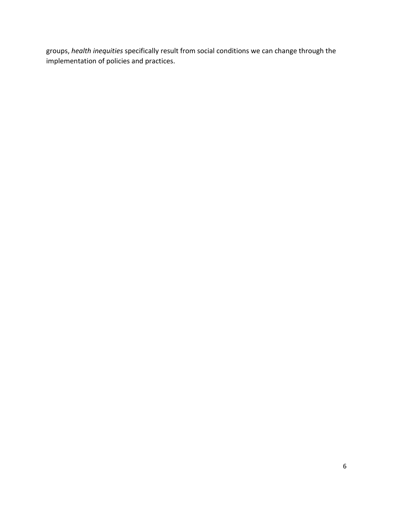groups, *health inequities* specifically result from social conditions we can change through the implementation of policies and practices.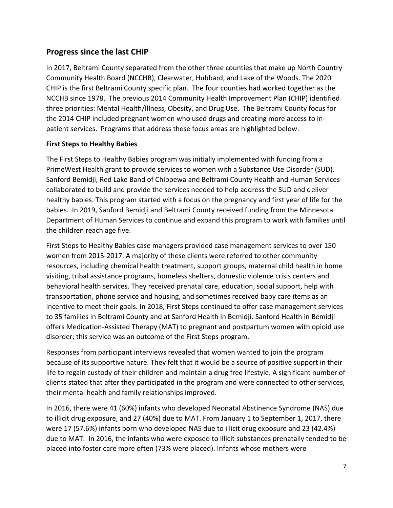# **Progress since the last CHIP**

In 2017, Beltrami County separated from the other three counties that make up North Country Community Health Board (NCCHB), Clearwater, Hubbard, and Lake of the Woods. The 2020 CHIP is the first Beltrami County specific plan. The four counties had worked together as the NCCHB since 1978. The previous 2014 Community Health Improvement Plan (CHIP) identified three priorities: Mental Health/Illness, Obesity, and Drug Use. The Beltrami County focus for the 2014 CHIP included pregnant women who used drugs and creating more access to inpatient services. Programs that address these focus areas are highlighted below.

## **First Steps to Healthy Babies**

The First Steps to Healthy Babies program was initially implemented with funding from a PrimeWest Health grant to provide services to women with a Substance Use Disorder (SUD). Sanford Bemidji, Red Lake Band of Chippewa and Beltrami County Health and Human Services collaborated to build and provide the services needed to help address the SUD and deliver healthy babies. This program started with a focus on the pregnancy and first year of life for the babies. In 2019, Sanford Bemidji and Beltrami County received funding from the Minnesota Department of Human Services to continue and expand this program to work with families until the children reach age five.

First Steps to Healthy Babies case managers provided case management services to over 150 women from 2015-2017. A majority of these clients were referred to other community resources, including chemical health treatment, support groups, maternal child health in home visiting, tribal assistance programs, homeless shelters, domestic violence crisis centers and behavioral health services. They received prenatal care, education, social support, help with transportation, phone service and housing, and sometimes received baby care items as an incentive to meet their goals. In 2018, First Steps continued to offer case management services to 35 families in Beltrami County and at Sanford Health in Bemidji. Sanford Health in Bemidji offers Medication-Assisted Therapy (MAT) to pregnant and postpartum women with opioid use disorder; this service was an outcome of the First Steps program.

Responses from participant interviews revealed that women wanted to join the program because of its supportive nature. They felt that it would be a source of positive support in their life to regain custody of their children and maintain a drug free lifestyle. A significant number of clients stated that after they participated in the program and were connected to other services, their mental health and family relationships improved.

In 2016, there were 41 (60%) infants who developed Neonatal Abstinence Syndrome (NAS) due to illicit drug exposure, and 27 (40%) due to MAT. From January 1 to September 1, 2017, there were 17 (57.6%) infants born who developed NAS due to illicit drug exposure and 23 (42.4%) due to MAT. In 2016, the infants who were exposed to illicit substances prenatally tended to be placed into foster care more often (73% were placed). Infants whose mothers were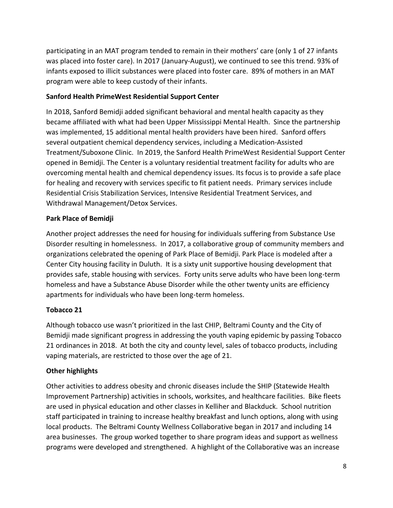participating in an MAT program tended to remain in their mothers' care (only 1 of 27 infants was placed into foster care). In 2017 (January‐August), we continued to see this trend. 93% of infants exposed to illicit substances were placed into foster care. 89% of mothers in an MAT program were able to keep custody of their infants.

## **Sanford Health PrimeWest Residential Support Center**

In 2018, Sanford Bemidji added significant behavioral and mental health capacity as they became affiliated with what had been Upper Mississippi Mental Health. Since the partnership was implemented, 15 additional mental health providers have been hired. Sanford offers several outpatient chemical dependency services, including a Medication-Assisted Treatment/Suboxone Clinic. In 2019, the Sanford Health PrimeWest Residential Support Center opened in Bemidji. The Center is a voluntary residential treatment facility for adults who are overcoming mental health and chemical dependency issues. Its focus is to provide a safe place for healing and recovery with services specific to fit patient needs. Primary services include Residential Crisis Stabilization Services, Intensive Residential Treatment Services, and Withdrawal Management/Detox Services.

## **Park Place of Bemidji**

Another project addresses the need for housing for individuals suffering from Substance Use Disorder resulting in homelessness. In 2017, a collaborative group of community members and organizations celebrated the opening of Park Place of Bemidji. Park Place is modeled after a Center City housing facility in Duluth. It is a sixty unit supportive housing development that provides safe, stable housing with services. Forty units serve adults who have been long-term homeless and have a Substance Abuse Disorder while the other twenty units are efficiency apartments for individuals who have been long-term homeless.

## **Tobacco 21**

Although tobacco use wasn't prioritized in the last CHIP, Beltrami County and the City of Bemidji made significant progress in addressing the youth vaping epidemic by passing Tobacco 21 ordinances in 2018. At both the city and county level, sales of tobacco products, including vaping materials, are restricted to those over the age of 21.

## **Other highlights**

Other activities to address obesity and chronic diseases include the SHIP (Statewide Health Improvement Partnership) activities in schools, worksites, and healthcare facilities. Bike fleets are used in physical education and other classes in Kelliher and Blackduck. School nutrition staff participated in training to increase healthy breakfast and lunch options, along with using local products. The Beltrami County Wellness Collaborative began in 2017 and including 14 area businesses. The group worked together to share program ideas and support as wellness programs were developed and strengthened. A highlight of the Collaborative was an increase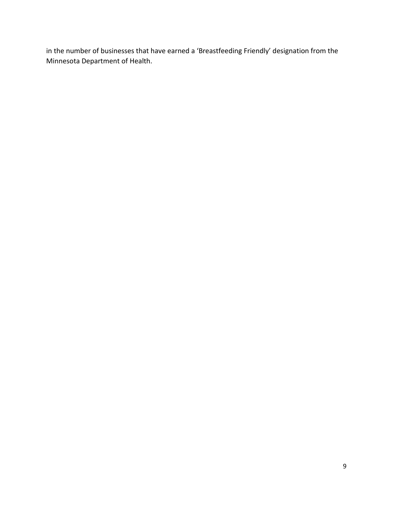in the number of businesses that have earned a 'Breastfeeding Friendly' designation from the Minnesota Department of Health.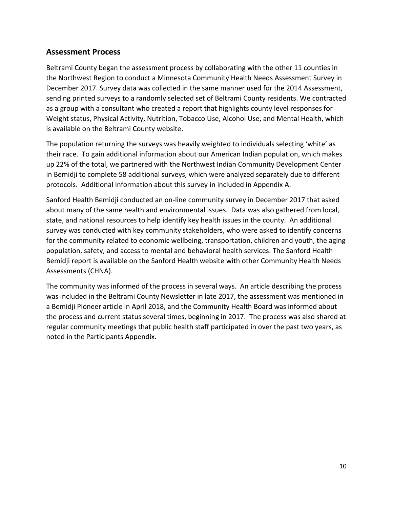## **Assessment Process**

Beltrami County began the assessment process by collaborating with the other 11 counties in the Northwest Region to conduct a Minnesota Community Health Needs Assessment Survey in December 2017. Survey data was collected in the same manner used for the 2014 Assessment, sending printed surveys to a randomly selected set of Beltrami County residents. We contracted as a group with a consultant who created a report that highlights county level responses for Weight status, Physical Activity, Nutrition, Tobacco Use, Alcohol Use, and Mental Health, which is available on the Beltrami County website.

The population returning the surveys was heavily weighted to individuals selecting 'white' as their race. To gain additional information about our American Indian population, which makes up 22% of the total, we partnered with the Northwest Indian Community Development Center in Bemidji to complete 58 additional surveys, which were analyzed separately due to different protocols. Additional information about this survey in included in Appendix A.

Sanford Health Bemidji conducted an on-line community survey in December 2017 that asked about many of the same health and environmental issues. Data was also gathered from local, state, and national resources to help identify key health issues in the county. An additional survey was conducted with key community stakeholders, who were asked to identify concerns for the community related to economic wellbeing, transportation, children and youth, the aging population, safety, and access to mental and behavioral health services. The Sanford Health Bemidji report is available on the Sanford Health website with other Community Health Needs Assessments (CHNA).

The community was informed of the process in several ways. An article describing the process was included in the Beltrami County Newsletter in late 2017, the assessment was mentioned in a Bemidji Pioneer article in April 2018, and the Community Health Board was informed about the process and current status several times, beginning in 2017. The process was also shared at regular community meetings that public health staff participated in over the past two years, as noted in the Participants Appendix.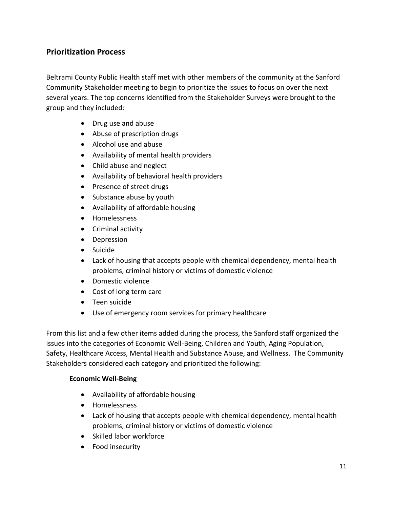# **Prioritization Process**

Beltrami County Public Health staff met with other members of the community at the Sanford Community Stakeholder meeting to begin to prioritize the issues to focus on over the next several years. The top concerns identified from the Stakeholder Surveys were brought to the group and they included:

- Drug use and abuse
- Abuse of prescription drugs
- Alcohol use and abuse
- Availability of mental health providers
- Child abuse and neglect
- Availability of behavioral health providers
- Presence of street drugs
- Substance abuse by youth
- Availability of affordable housing
- Homelessness
- Criminal activity
- Depression
- **•** Suicide
- Lack of housing that accepts people with chemical dependency, mental health problems, criminal history or victims of domestic violence
- Domestic violence
- Cost of long term care
- Teen suicide
- Use of emergency room services for primary healthcare

From this list and a few other items added during the process, the Sanford staff organized the issues into the categories of Economic Well-Being, Children and Youth, Aging Population, Safety, Healthcare Access, Mental Health and Substance Abuse, and Wellness. The Community Stakeholders considered each category and prioritized the following:

## **Economic Well-Being**

- Availability of affordable housing
- Homelessness
- Lack of housing that accepts people with chemical dependency, mental health problems, criminal history or victims of domestic violence
- Skilled labor workforce
- Food insecurity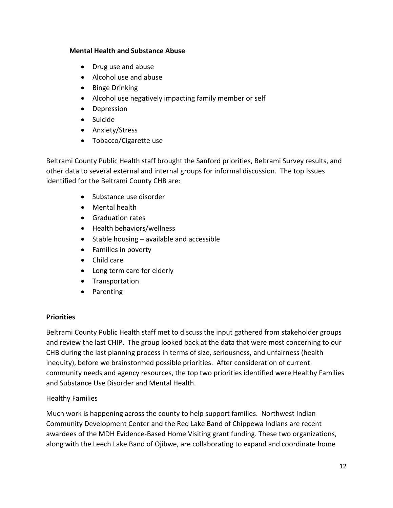#### **Mental Health and Substance Abuse**

- Drug use and abuse
- Alcohol use and abuse
- Binge Drinking
- Alcohol use negatively impacting family member or self
- Depression
- Suicide
- Anxiety/Stress
- Tobacco/Cigarette use

Beltrami County Public Health staff brought the Sanford priorities, Beltrami Survey results, and other data to several external and internal groups for informal discussion. The top issues identified for the Beltrami County CHB are:

- Substance use disorder
- Mental health
- Graduation rates
- Health behaviors/wellness
- $\bullet$  Stable housing available and accessible
- Families in poverty
- Child care
- Long term care for elderly
- Transportation
- Parenting

## **Priorities**

Beltrami County Public Health staff met to discuss the input gathered from stakeholder groups and review the last CHIP. The group looked back at the data that were most concerning to our CHB during the last planning process in terms of size, seriousness, and unfairness (health inequity), before we brainstormed possible priorities. After consideration of current community needs and agency resources, the top two priorities identified were Healthy Families and Substance Use Disorder and Mental Health.

## Healthy Families

Much work is happening across the county to help support families. Northwest Indian Community Development Center and the Red Lake Band of Chippewa Indians are recent awardees of the MDH Evidence-Based Home Visiting grant funding. These two organizations, along with the Leech Lake Band of Ojibwe, are collaborating to expand and coordinate home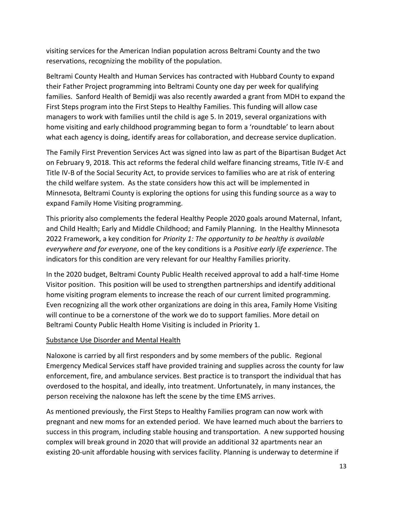visiting services for the American Indian population across Beltrami County and the two reservations, recognizing the mobility of the population.

Beltrami County Health and Human Services has contracted with Hubbard County to expand their Father Project programming into Beltrami County one day per week for qualifying families. Sanford Health of Bemidji was also recently awarded a grant from MDH to expand the First Steps program into the First Steps to Healthy Families. This funding will allow case managers to work with families until the child is age 5. In 2019, several organizations with home visiting and early childhood programming began to form a 'roundtable' to learn about what each agency is doing, identify areas for collaboration, and decrease service duplication.

The Family First Prevention Services Act was signed into law as part of the Bipartisan Budget Act on February 9, 2018. This act reforms the federal child welfare financing streams, Title IV-E and Title IV-B of the Social Security Act, to provide services to families who are at risk of entering the child welfare system. As the state considers how this act will be implemented in Minnesota, Beltrami County is exploring the options for using this funding source as a way to expand Family Home Visiting programming.

This priority also complements the federal Healthy People 2020 goals around Maternal, Infant, and Child Health; Early and Middle Childhood; and Family Planning. In the Healthy Minnesota 2022 Framework, a key condition for *Priority 1: The opportunity to be healthy is available everywhere and for everyone*, one of the key conditions is a *Positive early life experience*. The indicators for this condition are very relevant for our Healthy Families priority.

In the 2020 budget, Beltrami County Public Health received approval to add a half-time Home Visitor position. This position will be used to strengthen partnerships and identify additional home visiting program elements to increase the reach of our current limited programming. Even recognizing all the work other organizations are doing in this area, Family Home Visiting will continue to be a cornerstone of the work we do to support families. More detail on Beltrami County Public Health Home Visiting is included in Priority 1.

## Substance Use Disorder and Mental Health

Naloxone is carried by all first responders and by some members of the public. Regional Emergency Medical Services staff have provided training and supplies across the county for law enforcement, fire, and ambulance services. Best practice is to transport the individual that has overdosed to the hospital, and ideally, into treatment. Unfortunately, in many instances, the person receiving the naloxone has left the scene by the time EMS arrives.

As mentioned previously, the First Steps to Healthy Families program can now work with pregnant and new moms for an extended period. We have learned much about the barriers to success in this program, including stable housing and transportation. A new supported housing complex will break ground in 2020 that will provide an additional 32 apartments near an existing 20-unit affordable housing with services facility. Planning is underway to determine if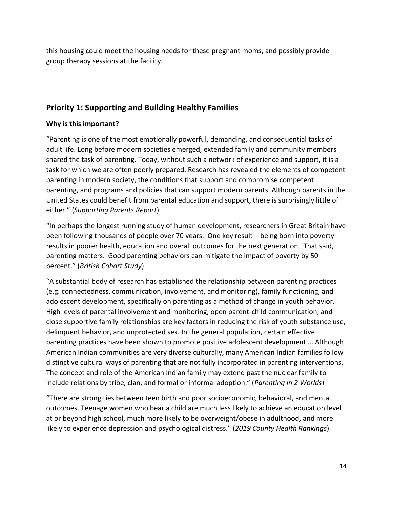this housing could meet the housing needs for these pregnant moms, and possibly provide group therapy sessions at the facility.

# **Priority 1: Supporting and Building Healthy Families**

## **Why is this important?**

"Parenting is one of the most emotionally powerful, demanding, and consequential tasks of adult life. Long before modern societies emerged, extended family and community members shared the task of parenting. Today, without such a network of experience and support, it is a task for which we are often poorly prepared. Research has revealed the elements of competent parenting in modern society, the conditions that support and compromise competent parenting, and programs and policies that can support modern parents. Although parents in the United States could benefit from parental education and support, there is surprisingly little of either." (*Supporting Parents Report*)

"In perhaps the longest running study of human development, researchers in Great Britain have been following thousands of people over 70 years. One key result – being born into poverty results in poorer health, education and overall outcomes for the next generation. That said, parenting matters. Good parenting behaviors can mitigate the impact of poverty by 50 percent." (*British Cohort Study*)

"A substantial body of research has established the relationship between parenting practices (e.g. connectedness, communication, involvement, and monitoring), family functioning, and adolescent development, specifically on parenting as a method of change in youth behavior. High levels of parental involvement and monitoring, open parent-child communication, and close supportive family relationships are key factors in reducing the risk of youth substance use, delinquent behavior, and unprotected sex. In the general population, certain effective parenting practices have been shown to promote positive adolescent development…. Although American Indian communities are very diverse culturally, many American Indian families follow distinctive cultural ways of parenting that are not fully incorporated in parenting interventions. The concept and role of the American Indian family may extend past the nuclear family to include relations by tribe, clan, and formal or informal adoption." (*Parenting in 2 Worlds*)

"There are strong ties between teen birth and poor socioeconomic, behavioral, and mental outcomes. Teenage women who bear a child are much less likely to achieve an education level at or beyond high school, much more likely to be overweight/obese in adulthood, and more likely to experience depression and psychological distress." (*2019 County Health Rankings*)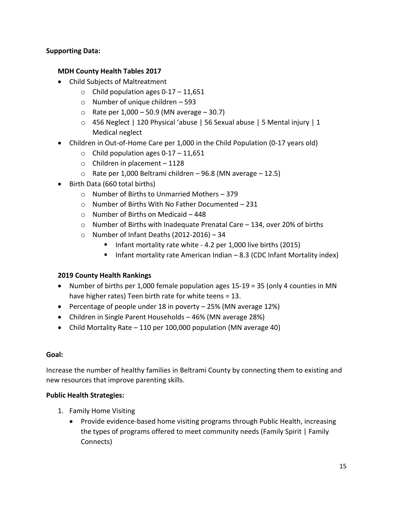## **Supporting Data:**

#### **MDH County Health Tables 2017**

- Child Subjects of Maltreatment
	- $\circ$  Child population ages 0-17 11,651
	- o Number of unique children 593
	- $\circ$  Rate per 1,000 50.9 (MN average 30.7)
	- o 456 Neglect | 120 Physical 'abuse | 56 Sexual abuse | 5 Mental injury | 1 Medical neglect
- Children in Out-of-Home Care per 1,000 in the Child Population (0-17 years old)
	- $\circ$  Child population ages 0-17 11,651
	- $\circ$  Children in placement 1128
	- $\circ$  Rate per 1,000 Beltrami children 96.8 (MN average 12.5)
- Birth Data (660 total births)
	- o Number of Births to Unmarried Mothers 379
	- o Number of Births With No Father Documented 231
	- $\circ$  Number of Births on Medicaid 448
	- $\circ$  Number of Births with Inadequate Prenatal Care 134, over 20% of births
	- $\circ$  Number of Infant Deaths (2012-2016) 34
		- Infant mortality rate white  $-$  4.2 per 1,000 live births (2015)
		- Infant mortality rate American Indian 8.3 (CDC Infant Mortality index)

## **2019 County Health Rankings**

- Number of births per 1,000 female population ages 15-19 = 35 (only 4 counties in MN have higher rates) Teen birth rate for white teens = 13.
- Percentage of people under 18 in poverty  $-25%$  (MN average 12%)
- Children in Single Parent Households 46% (MN average 28%)
- Child Mortality Rate 110 per 100,000 population (MN average 40)

#### **Goal:**

Increase the number of healthy families in Beltrami County by connecting them to existing and new resources that improve parenting skills.

## **Public Health Strategies:**

- 1. Family Home Visiting
	- Provide evidence-based home visiting programs through Public Health, increasing the types of programs offered to meet community needs (Family Spirit | Family Connects)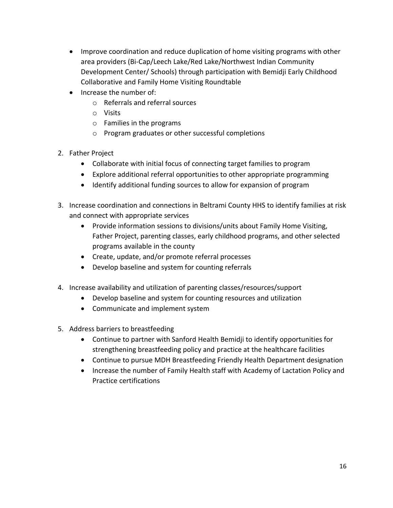- Improve coordination and reduce duplication of home visiting programs with other area providers (Bi-Cap/Leech Lake/Red Lake/Northwest Indian Community Development Center/ Schools) through participation with Bemidji Early Childhood Collaborative and Family Home Visiting Roundtable
- Increase the number of:
	- o Referrals and referral sources
	- o Visits
	- o Families in the programs
	- o Program graduates or other successful completions
- 2. Father Project
	- Collaborate with initial focus of connecting target families to program
	- Explore additional referral opportunities to other appropriate programming
	- Identify additional funding sources to allow for expansion of program
- 3. Increase coordination and connections in Beltrami County HHS to identify families at risk and connect with appropriate services
	- Provide information sessions to divisions/units about Family Home Visiting, Father Project, parenting classes, early childhood programs, and other selected programs available in the county
	- Create, update, and/or promote referral processes
	- Develop baseline and system for counting referrals
- 4. Increase availability and utilization of parenting classes/resources/support
	- Develop baseline and system for counting resources and utilization
	- Communicate and implement system
- 5. Address barriers to breastfeeding
	- Continue to partner with Sanford Health Bemidji to identify opportunities for strengthening breastfeeding policy and practice at the healthcare facilities
	- Continue to pursue MDH Breastfeeding Friendly Health Department designation
	- Increase the number of Family Health staff with Academy of Lactation Policy and Practice certifications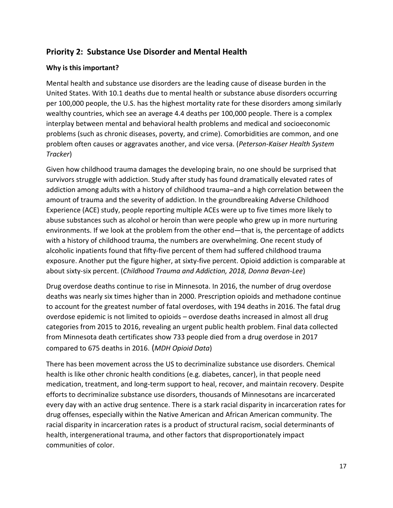# **Priority 2: Substance Use Disorder and Mental Health**

## **Why is this important?**

Mental health and substance use disorders are the leading cause of disease burden in the United States. With 10.1 deaths due to mental health or substance abuse disorders occurring per 100,000 people, the U.S. has the highest mortality rate for these disorders among similarly wealthy countries, which see an average 4.4 deaths per 100,000 people. There is a complex interplay between mental and behavioral health problems and medical and socioeconomic problems (such as chronic diseases, poverty, and crime). Comorbidities are common, and one problem often causes or aggravates another, and vice versa. (*Peterson-Kaiser Health System Tracker*)

Given how childhood trauma damages the developing brain, no one should be surprised that survivors struggle with addiction. Study after study has found dramatically elevated rates of addiction among adults with a history of childhood trauma–and a high correlation between the amount of trauma and the severity of addiction. In the groundbreaking Adverse Childhood Experience (ACE) study, people reporting multiple ACEs were up to five times more likely to abuse substances such as alcohol or heroin than were people who grew up in more nurturing environments. If we look at the problem from the other end—that is, the percentage of addicts with a history of childhood trauma, the numbers are overwhelming. One recent study of alcoholic inpatients found that fifty-five percent of them had suffered childhood trauma exposure. Another put the figure higher, at sixty-five percent. Opioid addiction is comparable at about sixty-six percent. (*Childhood Trauma and Addiction, 2018, Donna Bevan-Lee*)

Drug overdose deaths continue to rise in Minnesota. In 2016, the number of drug overdose deaths was nearly six times higher than in 2000. Prescription opioids and methadone continue to account for the greatest number of fatal overdoses, with 194 deaths in 2016. The fatal drug overdose epidemic is not limited to opioids – overdose deaths increased in almost all drug categories from 2015 to 2016, revealing an urgent public health problem. Final data collected from Minnesota death certificates show 733 people died from a drug overdose in 2017 compared to 675 deaths in 2016. (*MDH Opioid Data*)

There has been movement across the US to decriminalize substance use disorders. Chemical health is like other chronic health conditions (e.g. diabetes, cancer), in that people need medication, treatment, and long-term support to heal, recover, and maintain recovery. Despite efforts to decriminalize substance use disorders, thousands of Minnesotans are incarcerated every day with an active drug sentence. There is a stark racial disparity in incarceration rates for drug offenses, especially within the Native American and African American community. The racial disparity in incarceration rates is a product of structural racism, social determinants of health, intergenerational trauma, and other factors that disproportionately impact communities of color.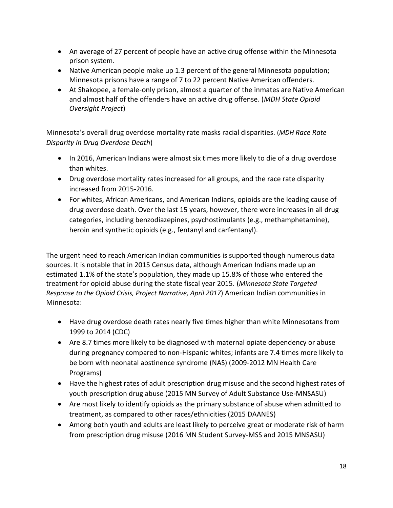- An average of 27 percent of people have an active drug offense within the Minnesota prison system.
- Native American people make up 1.3 percent of the general Minnesota population; Minnesota prisons have a range of 7 to 22 percent Native American offenders.
- At Shakopee, a female-only prison, almost a quarter of the inmates are Native American and almost half of the offenders have an active drug offense. (*MDH State Opioid Oversight Project*)

Minnesota's overall drug overdose mortality rate masks racial disparities. (*MDH Race Rate Disparity in Drug Overdose Death*)

- In 2016, American Indians were almost six times more likely to die of a drug overdose than whites.
- Drug overdose mortality rates increased for all groups, and the race rate disparity increased from 2015-2016.
- For whites, African Americans, and American Indians, opioids are the leading cause of drug overdose death. Over the last 15 years, however, there were increases in all drug categories, including benzodiazepines, psychostimulants (e.g., methamphetamine), heroin and synthetic opioids (e.g., fentanyl and carfentanyl).

The urgent need to reach American Indian communities is supported though numerous data sources. It is notable that in 2015 Census data, although American Indians made up an estimated 1.1% of the state's population, they made up 15.8% of those who entered the treatment for opioid abuse during the state fiscal year 2015. (*Minnesota State Targeted Response to the Opioid Crisis, Project Narrative, April 2017*) American Indian communities in Minnesota:

- Have drug overdose death rates nearly five times higher than white Minnesotans from 1999 to 2014 (CDC)
- Are 8.7 times more likely to be diagnosed with maternal opiate dependency or abuse during pregnancy compared to non-Hispanic whites; infants are 7.4 times more likely to be born with neonatal abstinence syndrome (NAS) (2009-2012 MN Health Care Programs)
- Have the highest rates of adult prescription drug misuse and the second highest rates of youth prescription drug abuse (2015 MN Survey of Adult Substance Use-MNSASU)
- Are most likely to identify opioids as the primary substance of abuse when admitted to treatment, as compared to other races/ethnicities (2015 DAANES)
- Among both youth and adults are least likely to perceive great or moderate risk of harm from prescription drug misuse (2016 MN Student Survey-MSS and 2015 MNSASU)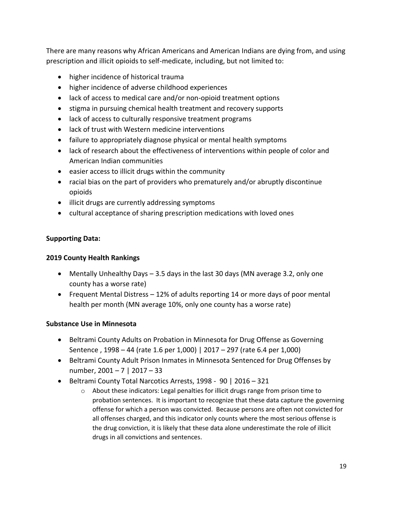There are many reasons why African Americans and American Indians are dying from, and using prescription and illicit opioids to self-medicate, including, but not limited to:

- higher incidence of historical trauma
- higher incidence of adverse childhood experiences
- lack of access to medical care and/or non-opioid treatment options
- stigma in pursuing chemical health treatment and recovery supports
- lack of access to culturally responsive treatment programs
- lack of trust with Western medicine interventions
- failure to appropriately diagnose physical or mental health symptoms
- lack of research about the effectiveness of interventions within people of color and American Indian communities
- $\bullet$  easier access to illicit drugs within the community
- racial bias on the part of providers who prematurely and/or abruptly discontinue opioids
- illicit drugs are currently addressing symptoms
- cultural acceptance of sharing prescription medications with loved ones

## **Supporting Data:**

## **2019 County Health Rankings**

- Mentally Unhealthy Days 3.5 days in the last 30 days (MN average 3.2, only one county has a worse rate)
- Frequent Mental Distress 12% of adults reporting 14 or more days of poor mental health per month (MN average 10%, only one county has a worse rate)

## **Substance Use in Minnesota**

- Beltrami County Adults on Probation in Minnesota for Drug Offense as Governing Sentence , 1998 – 44 (rate 1.6 per 1,000) | 2017 – 297 (rate 6.4 per 1,000)
- Beltrami County Adult Prison Inmates in Minnesota Sentenced for Drug Offenses by number, 2001 – 7 | 2017 – 33
- Beltrami County Total Narcotics Arrests, 1998 90 | 2016 321
	- $\circ$  About these indicators: Legal penalties for illicit drugs range from prison time to probation sentences. It is important to recognize that these data capture the governing offense for which a person was convicted. Because persons are often not convicted for all offenses charged, and this indicator only counts where the most serious offense is the drug conviction, it is likely that these data alone underestimate the role of illicit drugs in all convictions and sentences.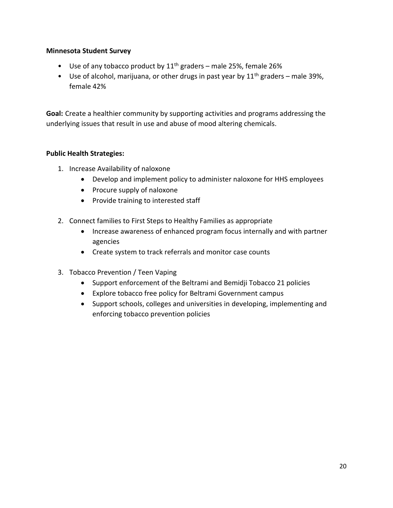#### **Minnesota Student Survey**

- Use of any tobacco product by  $11<sup>th</sup>$  graders male 25%, female 26%
- Use of alcohol, marijuana, or other drugs in past year by  $11<sup>th</sup>$  graders male 39%, female 42%

**Goal:** Create a healthier community by supporting activities and programs addressing the underlying issues that result in use and abuse of mood altering chemicals.

#### **Public Health Strategies:**

- 1. Increase Availability of naloxone
	- Develop and implement policy to administer naloxone for HHS employees
	- Procure supply of naloxone
	- Provide training to interested staff
- 2. Connect families to First Steps to Healthy Families as appropriate
	- Increase awareness of enhanced program focus internally and with partner agencies
	- Create system to track referrals and monitor case counts
- 3. Tobacco Prevention / Teen Vaping
	- Support enforcement of the Beltrami and Bemidji Tobacco 21 policies
	- Explore tobacco free policy for Beltrami Government campus
	- Support schools, colleges and universities in developing, implementing and enforcing tobacco prevention policies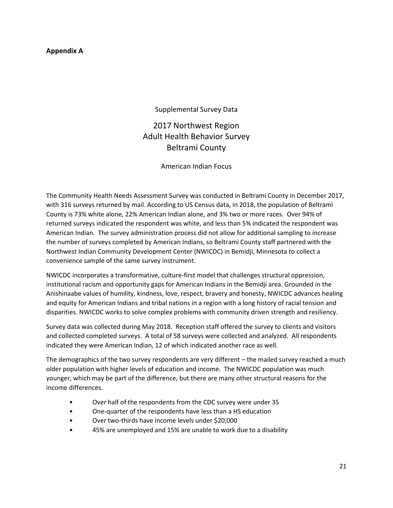#### **Appendix A**

Supplemental Survey Data

2017 Northwest Region Adult Health Behavior Survey Beltrami County

American Indian Focus

The Community Health Needs Assessment Survey was conducted in Beltrami County in December 2017, with 316 surveys returned by mail. According to US Census data, in 2018, the population of Beltrami County is 73% white alone, 22% American Indian alone, and 3% two or more races. Over 94% of returned surveys indicated the respondent was white, and less than 5% indicated the respondent was American Indian. The survey administration process did not allow for additional sampling to increase the number of surveys completed by American Indians, so Beltrami County staff partnered with the Northwest Indian Community Development Center (NWICDC) in Bemidji, Minnesota to collect a convenience sample of the same survey instrument.

NWICDC incorporates a transformative, culture-first model that challenges structural oppression, institutional racism and opportunity gaps for American Indians in the Bemidji area. Grounded in the Anishinaabe values of humility, kindness, love, respect, bravery and honesty, NWICDC advances healing and equity for American Indians and tribal nations in a region with a long history of racial tension and disparities. NWICDC works to solve complex problems with community driven strength and resiliency.

Survey data was collected during May 2018. Reception staff offered the survey to clients and visitors and collected completed surveys. A total of 58 surveys were collected and analyzed. All respondents indicated they were American Indian, 12 of which indicated another race as well.

The demographics of the two survey respondents are very different – the mailed survey reached a much older population with higher levels of education and income. The NWICDC population was much younger, which may be part of the difference, but there are many other structural reasons for the income differences.

- Over half of the respondents from the CDC survey were under 35
- One-quarter of the respondents have less than a HS education
- Over two-thirds have income levels under \$20,000
- 45% are unemployed and 15% are unable to work due to a disability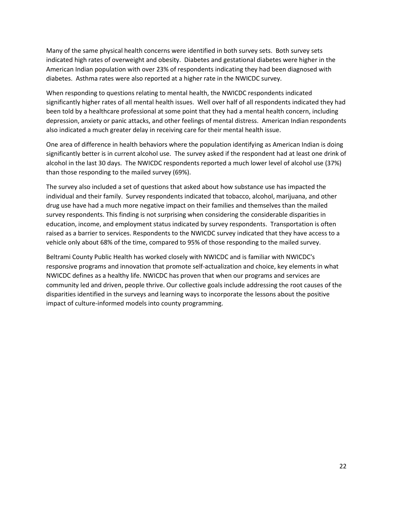Many of the same physical health concerns were identified in both survey sets. Both survey sets indicated high rates of overweight and obesity. Diabetes and gestational diabetes were higher in the American Indian population with over 23% of respondents indicating they had been diagnosed with diabetes. Asthma rates were also reported at a higher rate in the NWICDC survey.

When responding to questions relating to mental health, the NWICDC respondents indicated significantly higher rates of all mental health issues. Well over half of all respondents indicated they had been told by a healthcare professional at some point that they had a mental health concern, including depression, anxiety or panic attacks, and other feelings of mental distress. American Indian respondents also indicated a much greater delay in receiving care for their mental health issue.

One area of difference in health behaviors where the population identifying as American Indian is doing significantly better is in current alcohol use. The survey asked if the respondent had at least one drink of alcohol in the last 30 days. The NWICDC respondents reported a much lower level of alcohol use (37%) than those responding to the mailed survey (69%).

The survey also included a set of questions that asked about how substance use has impacted the individual and their family. Survey respondents indicated that tobacco, alcohol, marijuana, and other drug use have had a much more negative impact on their families and themselves than the mailed survey respondents. This finding is not surprising when considering the considerable disparities in education, income, and employment status indicated by survey respondents. Transportation is often raised as a barrier to services. Respondents to the NWICDC survey indicated that they have access to a vehicle only about 68% of the time, compared to 95% of those responding to the mailed survey.

Beltrami County Public Health has worked closely with NWICDC and is familiar with NWICDC's responsive programs and innovation that promote self-actualization and choice, key elements in what NWICDC defines as a healthy life. NWICDC has proven that when our programs and services are community led and driven, people thrive. Our collective goals include addressing the root causes of the disparities identified in the surveys and learning ways to incorporate the lessons about the positive impact of culture-informed models into county programming.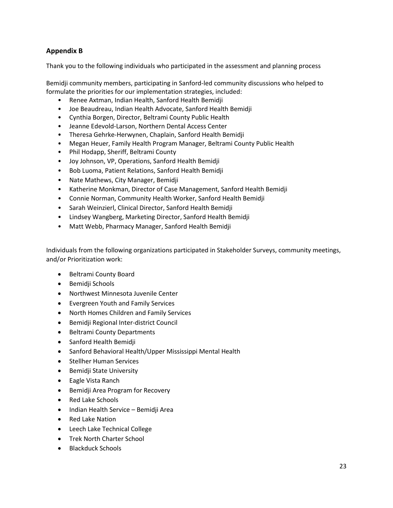#### **Appendix B**

Thank you to the following individuals who participated in the assessment and planning process

Bemidji community members, participating in Sanford-led community discussions who helped to formulate the priorities for our implementation strategies, included:

- Renee Axtman, Indian Health, Sanford Health Bemidji
- Joe Beaudreau, Indian Health Advocate, Sanford Health Bemidji
- Cynthia Borgen, Director, Beltrami County Public Health
- Jeanne Edevold-Larson, Northern Dental Access Center
- Theresa Gehrke-Herwynen, Chaplain, Sanford Health Bemidji
- Megan Heuer, Family Health Program Manager, Beltrami County Public Health
- Phil Hodapp, Sheriff, Beltrami County
- Joy Johnson, VP, Operations, Sanford Health Bemidji
- Bob Luoma, Patient Relations, Sanford Health Bemidji
- Nate Mathews, City Manager, Bemidji
- Katherine Monkman, Director of Case Management, Sanford Health Bemidji
- Connie Norman, Community Health Worker, Sanford Health Bemidji
- Sarah Weinzierl, Clinical Director, Sanford Health Bemidji
- Lindsey Wangberg, Marketing Director, Sanford Health Bemidji
- Matt Webb, Pharmacy Manager, Sanford Health Bemidji

Individuals from the following organizations participated in Stakeholder Surveys, community meetings, and/or Prioritization work:

- Beltrami County Board
- Bemidji Schools
- Northwest Minnesota Juvenile Center
- Evergreen Youth and Family Services
- North Homes Children and Family Services
- Bemidji Regional Inter-district Council
- Beltrami County Departments
- Sanford Health Bemidji
- Sanford Behavioral Health/Upper Mississippi Mental Health
- Stellher Human Services
- **•** Bemidji State University
- Eagle Vista Ranch
- Bemidji Area Program for Recovery
- Red Lake Schools
- Indian Health Service Bemidji Area
- Red Lake Nation
- Leech Lake Technical College
- Trek North Charter School
- Blackduck Schools